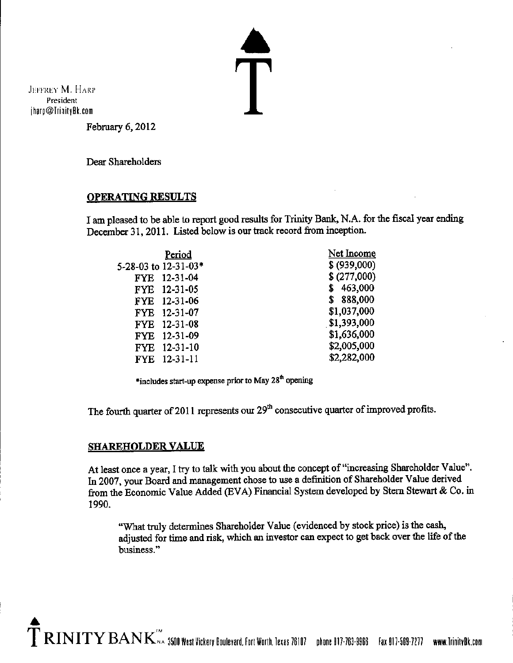JEFFREY M. HARP President ihara@!rinitvB k.com

 $\bar{\bm{\mathsf{T}}}$ 

February 6, 2012

Dear Shareholders

### **OPERATING RESULTS**

I am pleased to be able to report good results for Trinity Bank, N.A. for the fiscal year ending **December 31, 2011. Listed below is our track record from inception.** 

| Period                       | Net Income   |
|------------------------------|--------------|
| 5-28-03 to 12-31-03*         | \$ (939,000) |
| FYE 12-31-04                 | \$(277,000)  |
| FYE 12-31-05                 | 463,000      |
| FYE 12-31-06                 | 888,000      |
| FYE 12-31-07                 | \$1,037,000  |
| FYE 12-31-08                 | \$1,393,000  |
| 12-31-09<br>FYE.             | \$1,636,000  |
| $12 - 31 - 10$<br><b>FYE</b> | \$2,005,000  |
| FYE 12-31-11                 | \$2,282,000  |
|                              |              |

\*includes start-up expense prior to May 28<sup>th</sup> opening

The fourth quarter of 2011 represents our 29<sup>th</sup> consecutive quarter of improved profits.

### **SHAREHOLDER VALUE**

**At least once a year,** I try **to talk with you about the concept of"increasing Shareholder Value".**  In 2007, your Board and management chose to use a definition of Shareholder Value derived from the Economic Value Added (EVA) Financial System developed by Stem Stewart & Co. in 1990.

"What truly determines Shareholder Value (evidenced by stock price) is the cash, adjusted for time and risk, which an investor can expect to get back over the life of the **business."**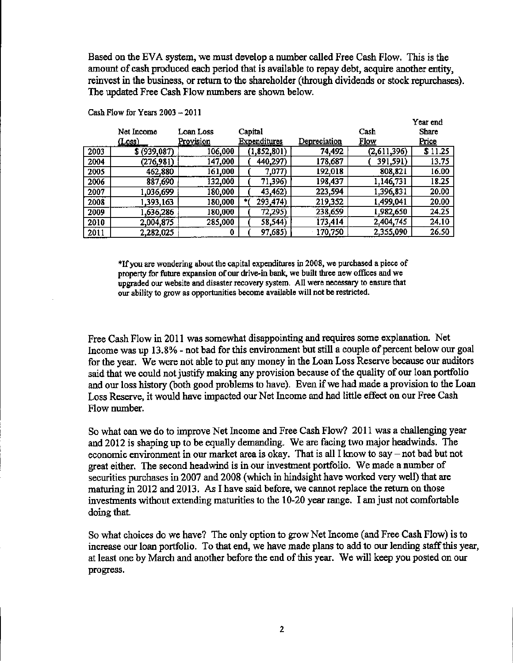Based on the EVA system, we must develop a number called Free Cash Flow. This is the amount of cash produced each period that is available to repay debt, acquire another entity, reinvest in the business, or return to the shareholder (through dividends or stock repurchases). The updated Free Cash Flow numbers are shown below.

|      | Net Income  | Loan Loss        | Capital                    |              | Cash        | Year end<br>Share |
|------|-------------|------------------|----------------------------|--------------|-------------|-------------------|
|      | (Loss)      | <u>Provision</u> | <u>Expenditures</u>        | Depreciation | <b>Flow</b> | Price             |
| 2003 | \$(939,087) | 106,000          | (1, 852, 801)              | 74,492       | (2,611,396) | \$11.25           |
| 2004 | (276,981)   | 147,000          | 440,297)                   | 178,687      | 391,591)    | 13.75             |
| 2005 | 462,880     | 161,000          | 7,077)                     | 192,018      | 808,821     | 16.00             |
| 2006 | 887,690     | 132,000          | 71,396)                    | 198,437      | 1,146,731   | 18.25             |
| 2007 | 1,036,699   | 180,000          | 43,462)                    | 223,594      | 1,396,831   | 20.00             |
| 2008 | 1,393,163   | 180,000          | 293,474)<br>$\blacksquare$ | 219,352      | 1,499,041   | 20.00             |
| 2009 | 1,636,286   | 180,000          | 72,295)                    | 238,659      | 1,982,650   | 24.25             |
| 2010 | 2,004,875   | 285,000          | 58,544)                    | 173,414      | 2,404,745   | 24.10             |
| 2011 | 2,282,025   | 0                | 97,685)                    | 170,750      | 2,355,090   | 26.50             |

**Cash Flow for Years 2003 - 2011** 

**\*Ifyou are wondering about the capital expenditures in 2008, we purchased a piece of**  property for future expansion of our drive-in bank, we built three new offices and we **upgraded our website and disaster recovery system. All were necessary to ensure that our ability to grow as opportunities become available will not be restricted.** 

**Free Cash Flow in 2011 was somewhat disappointing and requires some explanation. Net**  Income was up 13.8% - not bad for this environment but still a couple of percent below our goal **for the year. We were not able to put any money in the Loan Loss Reserve because our auditors**  said that we could not justify making any provision because of the quality of our loan portfolio and our loss history (both good problems to have). Even if we had made a provision to the Loan **Loss Reserve, it would have impacted our Net Income and had little effect on our Free Cash Flow number.** 

So what can we do to improve Net Income and Free Cash Flow? 2011 was a challenging year and 2012 is shaping up to be equally demanding. We are facing two major headwinds. The economic environment in our market area is okay. That is all I know to say – not bad but not **great either. The second headwind is in our investment portfolio. We made a number of**  secnrities purchases in 2007 and 2008 (which in hindsight have worked very well) that are maturing in 2012 and 2013. As I have said before, we caunot replace the return on those **investments without extending maturities to the 10-20 year range. I am just not comfortable**  doing that.

So what choices do we have? The only option to grow Net Income ( and Free Cash Flow) is to **increase our loan portfolio. To that end, we have made plans to add to our lending staffthis year,**  at least one by March and another before the end of this year. We will keep you posted on our **progress.**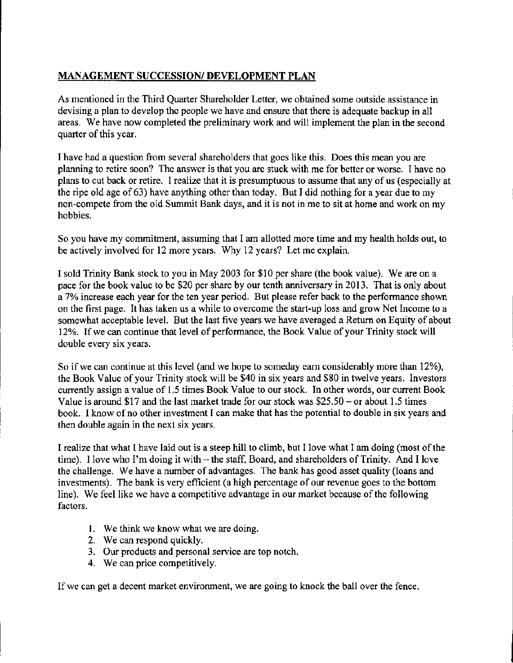## **MANAGEMENT SUCCESSION/ DEVELOPMENT PLAN**

As mentioned in the Third Quarter Shareholder Letter, we obtained some outside assistance in devising a plan to develop the people we have and ensure that there is adequate backup in all areas. We have now completed the preliminary work and will implement the plan in the second quarter of this year.

I have had a question from several shareholders that goes like this. Does this mean you are planning to retire soon? The answer is that you are stuck with me for better or worse. I have no plans to cut back or retire. I realize that it is presumptuous to assume that any of us (especially at the ripe old age of 63) have anything other than today. But I did nothing for a year due to my non-compete from the old Summit Bank days, and it is not in me to sit at home and work on my hobbies.

So you have my commitment, assuming that I am allotted more time and my health holds out, to be actively involved for 12 more years. Why 12 years? Let me explain.

I sold Trinity Bank stock to you in May 2003 for \$10 per share (the book value). We are on a pace for the book value to be \$20 per share by our tenth anniversary in 2013. That is only about a 7% increase each year for the ten year period. But please refer back to the performance shown on the first page. It has taken us a while to overcome the start-up loss and grow Net Income to a somewhat acceptable level. But the last five years we have averaged a Return on Equity of about 12%. If we can continue that level of performance, the Book Value of your Trinity stock will double every six years.

So if we can continue at this level (and we hope to someday earn considerably more than 12%), the Book Value of your Trinity stock will be \$40 in six years and \$80 in twelve years. Investors currently assign a value of 1.5 times Book Value to our stock. In other words, our current Book Value is around \$17 and the last market trade for our stock was  $$25.50 - or about 1.5$  times book. I know of no other investment I can make that has the potential to double in six years and then double again in the next six years.

I realize that what I have laid out is a steep hill to climb, but I love what I am doing (most of the time). I love who I'm doing it with  $-$  the staff, Board, and shareholders of Trinity. And I love the challenge. We have a number of advantages. The bank has good asset quality (loans and investments). The bank is very efficient (a high percentage of our revenue goes to the bottom line). We feel like we have a competitive advantage in our market because of the following factors.

- I. We think we know what we are doing.
- 2. We can respond quickly.
- 3. Our products and personal service are top notch.
- 4. We can price competitively.

If we can get a decent market environment, we are going to knock the ball over the fence.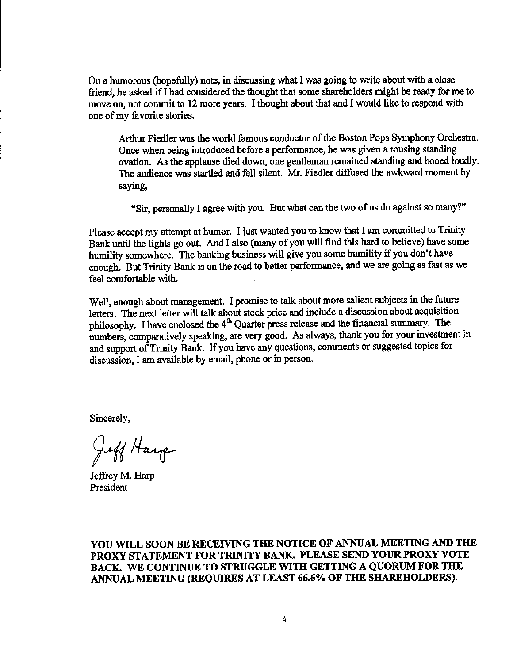**On a humorous (hopefully) note, in discussing what I was going to write about with a close**  friend, he asked if I had considered the thought that some shareholders might be ready for me to move on, not commit to 12 more years. I thought about that and I would like to respond with **one ofmy favorite stories.** 

Arthur Fiedler was the world famous conductor of the Boston Pops Symphony Orchestra. **Once when being introduced before a performance, he was given a rousing standing**  ovation. As the applause died down, one gentleman remained standing and booed loudly. The audience was startled and fell silent. Mr. Fiedler diffused the awkward moment by **saymg,** 

"Sir, personally I agree with you. But what can the two of us do against so many?"

Please accept my attempt at humor. I just wanted you to know that I am committed to Trinity Bank until the lights go out. And I also (many of you will find this hard to believe) have some humility somewhere. The banking business will give you some humility if you don't have enough. But Trinity Bank is on the road to better performance, and we are going as fast as we feel comfortable with.

**Well, enough about management. I promise to talk about more salient subjects in the future letters. The next letter will talk about stock price and include a discussion about acquisition**  philosophy. I have enclosed the 4<sup>th</sup> Quarter press release and the financial summary. The **numbers, comparatively** speaking, **are very good. As always, thank you for your investment in and support of Trinity Bank. If you have any questions, comments or suggested topics for discussion, I am available by email, phone or in person.** 

Sincerely,

Jeff Harp

Jeffrey M. Harp **President** 

YOU WILL SOON BE RECEIVING THE NOTICE OF ANNUAL MEETING AND THE PROXY STATEMENT FOR TRINITY BANK. PLEASE SEND YOUR PROXY VOTE BACK. WE CONTINUE TO STRUGGLE WITH GETTING A QUORUM FOR THE ANNUAL MEETING (REQUIRES AT LEAST 66.6% OF THE SHAREHOLDERS).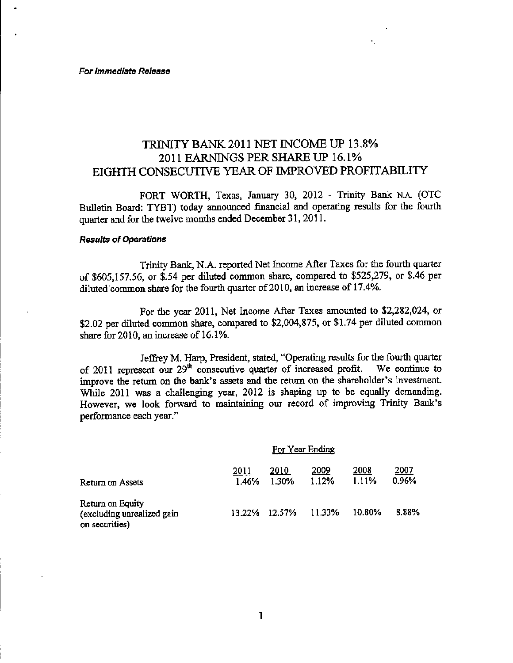# TRINITYBANK.2011 NET INCOME UP 13.8% 2011 EARNINGS PER SHARE UP 16.1% EIGHTR CONSECUTIVE YEAR OF IMPROVED PROFITABILITY

FORT WORTH, Texas, January 30, 2012 - Trinity Bank N.A. (OTC Bulletin Board: TYBT) today announced financial and operating results for the fourth quarter and for the twelve months ended December 31, 2011.

### **Results of Operations**

Trinity Bank, N.A. reported Net Income After Taxes for the fourth quarter of [\\$605,157.56](https://605,157.56), or \$.54 per diluted common share, compared to \$525,279, or \$.46 per diluted common share for the fourth quarter of 2010, an increase of 17.4%.

For the year 2011, Net Income After Taxes amounted to \$2,282,024, or \$2.02 per diluted common share, compared to \$2,004,875, or \$1.74 per diluted common share for 2010, an increase of 16.1%.

Jeffrey M. Harp, President, stated, "Operating results for the fourth quarter **of 2011 represent om 29th consecutive quarter of increased profit. We continue to improve the return on the bank's assets and the return on the shareholder's investment.**  While 2011 was a challenging year, 2012 is shaping up to be equally demanding. **However, we look forward to maintaining om record of improving Trinity Bank's performance each year."** 

|                                                                  |               | For Year Ending |               |               |               |  |
|------------------------------------------------------------------|---------------|-----------------|---------------|---------------|---------------|--|
| Return on Assets                                                 | 2011<br>1.46% | 2010<br>1.30%   | 2009<br>1.12% | 2008<br>1.11% | 2007<br>0.96% |  |
| Return on Equity<br>(excluding unrealized gain<br>on securities) | 13.22%        | 12.57%          | 11.33%        | 10.80%        | 8.88%         |  |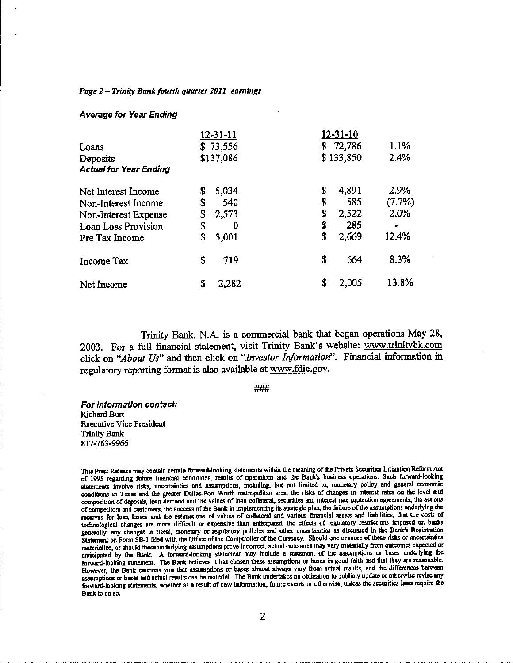### Page 2 - *Trinity Bank fourth quarter 2011 earnings*

### Average for Year Ending

|                               | 12-31-11    | $12 - 31 - 10$ |        |
|-------------------------------|-------------|----------------|--------|
| Loans                         | \$73,556    | \$72,786       | 1.1%   |
| Deposits                      | \$137,086   | \$133,850      | 2.4%   |
| <b>Actual for Year Ending</b> |             |                |        |
| Net Interest Income           | \$<br>5,034 | \$<br>4,891    | 2.9%   |
| Non-Interest Income           | \$<br>540   | \$<br>585      | (7.7%) |
| Non-Interest Expense          | \$<br>2,573 | \$<br>2,522    | 2.0%   |
| Loan Loss Provision           | \$<br>0     | \$<br>285      |        |
| Pre Tax Income                | \$<br>3,001 | \$<br>2,669    | 12.4%  |
| Income Tax                    | \$<br>719   | \$<br>664      | 8.3%   |
| Net Income                    | \$<br>2,282 | \$<br>2,005    | 13.8%  |

Trinity Bank, N.A. is a commercial bank that began operations May 28, 2003. For a full financial statement, visit Trinity Bank's website: <www.trinitybk.com> click on *"About Us"* and then click on *"Investor Information".* Financial information in regulatory reporting format is also available at [www.fdic.gov.](www.fdic.gov)

###

For informatlon contact: Richard Burt Executive Vice President Trinity Bank 817-763-9966

This Press Release may contain certain forward-looking statements within the meaning ofthe Private Securities Litigation Reform Act of 1995 regarding future financial conditions, results of operations and the Bank's business operations. Such forward-looking statements involve risks, uncertainties and assumptions, including, but not limited to, monetary policy and general economic conditions in Texas and the greater Dallas-Fort Worth metropolitan area, the risks of changes in Interest rates on the level and composition of deposits, loan demand and the values of loan collateral, securities and interest rate protection agreements, the actions of competitors and customers, the success of the Bank in implementing its strategic plan, the failure of the assumptions underlying the reserves for loan losses and the estimations of values of collateral and various financial assets and liabilities, that the costs of technological changes are more difficult or expensive than anticipated, the effects of regulatory restrictions imposed on banks generally, any changes in fiscal, monetary or regulatory policies and other uncertainties as discussed in the Bank's Registration Statement on Form SB-1 filed with the Office of the Comptroller of the Currency. Should one or more of these risks or uncertainties materialize, or should these underlying assumptions prove incorrect, actual outcomes may vary materially from outcomes expected or anticipated by the Bank. A forward-looking statement may include a statement of the assumptions or bases underlying the forward-looking statement. The Bank believes it has chosen these assumptions or bases in good faith and that they are reasonable. However, the Bank cautions you that assumptions or bases almost always vary from actual results, and the differences between assumptions or bases and actual results can be material. The Bank undertakes no obligation to publicly update or otherwise revise any forward-looking statements, whether as a result of new information, future events or otherwise, unless the securities laws require the Bank to do so.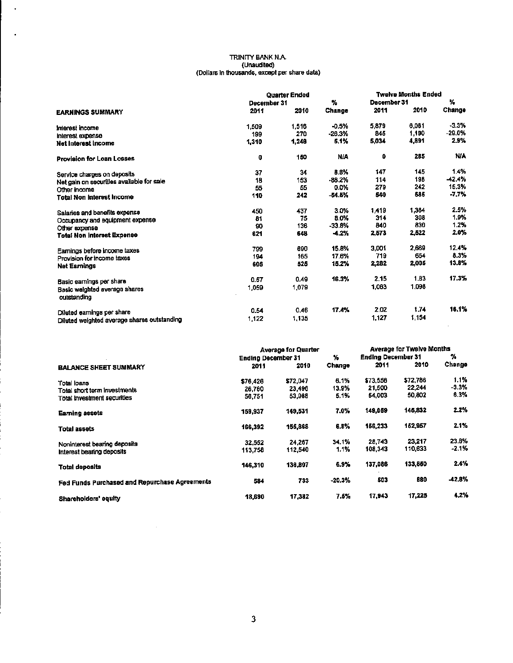## TRINITY BANK N.A. (Unaudited) (Dollars ln thousand&, except per share data)

 $\bar{z}$ 

 $\bar{a}$ 

|                                              | <b>Quarter Ended</b> |       | <b>Twelve Months Ended</b> |             |       |            |
|----------------------------------------------|----------------------|-------|----------------------------|-------------|-------|------------|
|                                              | December 31          |       | ٧.                         | December 31 |       | У.         |
| <b>EARNINGS SUMMARY</b>                      | 2011                 | 2010  | Change                     | 2011        | 2010  | Change     |
| Interest income                              | 1,509                | 1,516 | $-0.5%$                    | 5,879       | 6.081 | $-3.3%$    |
| Interest expense                             | 199                  | 270   | $-26.3%$                   | 845         | 1,190 | $-29.0%$   |
| <b>Net Interest Income</b>                   | 1,310                | 1,246 | 5.1%                       | 5,034       | 4,891 | 2.9%       |
| <b>Provision for Loan Losses</b>             | $\mathbf 0$          | 150   | <b>NIA</b>                 | 0           | 285   | <b>N/A</b> |
| Service charges on deposits                  | 37                   | 34    | 8.8%                       | 147         | 145   | 1.4%       |
| Net gain on securities available for sale    | 18                   | 153   | $-88.2%$                   | 114         | 198   | -42.4%     |
| Other income                                 | 55                   | 55    | 0.0%                       | 279         | 242   | 15.3%      |
| <b>Total Non Interest Income</b>             | 110                  | 242   | $-54.5%$                   | 540         | 585   | $-7.7%$    |
| Salaries and benefits experise               | 450                  | 437   | 3.0%                       | 1,419       | 1,384 | 2.5%       |
| Occupancy and equipment expense              | 81                   | 75    | 8.0%                       | 314         | 308   | 1.9%       |
| Other expense                                | 90                   | 136   | $-33.8%$                   | 840         | 830   | 1.2%       |
| <b>Total Non Interest Expense</b>            | 621                  | 648   | $-4.2%$                    | 2,573       | 2,522 | 2.0%       |
| Earnings before income taxes                 | 799                  | 690   | 15.8%                      | 3.001       | 2,669 | 12.4%      |
| Provision for income taxes                   | 194                  | 165   | 17.6%                      | 719         | 664   | 8.3%       |
| <b>Net Earnings</b>                          | 606                  | 525   | 15.2%                      | 2,282       | 2,006 | 13.8%      |
| Basic earnings per share                     | 0.57                 | 0.49  | 16.3%                      | 2.15        | 1.83  | 17.3%      |
| Basic weighted average shares<br>outstanding | 1,059                | 1,079 |                            | 1,063       | 1,098 |            |
| Diluted earnings per share                   | 0.54                 | 0.46  | 17.4%                      | 2.02        | 1.74  | 16.1%      |
| Diluted weighted average shares outstanding  | 1,122                | 1,135 |                            | 1,127       | 1,154 |            |

|                                               |                           | <b>Average for Quarter</b> | <b>Average for Twelve Months</b> |                           |          |          |
|-----------------------------------------------|---------------------------|----------------------------|----------------------------------|---------------------------|----------|----------|
|                                               | <b>Ending December 31</b> |                            | $\%$                             | <b>Ending December 31</b> |          | У.       |
| <b>BALANCE SHEET SUMMARY</b>                  | 2011                      | 2010                       | Change                           | 2011                      | 2010     | Change   |
| Total Ioans                                   | \$76,426                  | \$72,047                   | 6.1%                             | \$73,556                  | \$72,786 | 1.1%     |
| Total short term investments                  | 26.760                    | 23.496                     | 13.9%                            | 21.500                    | 22,244   | $-3.3%$  |
| Total investment securities                   | 56,751                    | 53,988                     | 5.1%                             | 54.003                    | 50,802   | 6.3%     |
| <b>Earning assets</b>                         | 159,937                   | 149,531                    | 7.0%                             | 149,059                   | 145,832  | 2.2%     |
| Total assets                                  | 166,392                   | 155,868                    | 6.8%                             | 156,233                   | 162,957  | 2.1%     |
| Noninterest bearing deposits                  | 32.552                    | 24.267                     | 34.1%                            | 28.743                    | 23.217   | 23.8%    |
| Interest bearing deposits                     | 113.758                   | 112,540                    | 1.1%                             | 108,343                   | 110,633  | -2.1%    |
| <b>Total deposits</b>                         | 146,310                   | 136,807                    | 6.9%                             | 137,086                   | 133,850  | 2.4%     |
| Fed Funds Purchased and Repurchase Agreements | 584                       | 733                        | $-20.3%$                         | 503                       | 880      | $-42.8%$ |
| Shareholders' equity                          | 18,690                    | 17,382                     | 7.5%                             | 17,943                    | 17,225   | 4.2%     |

 $\ddot{\phantom{0}}$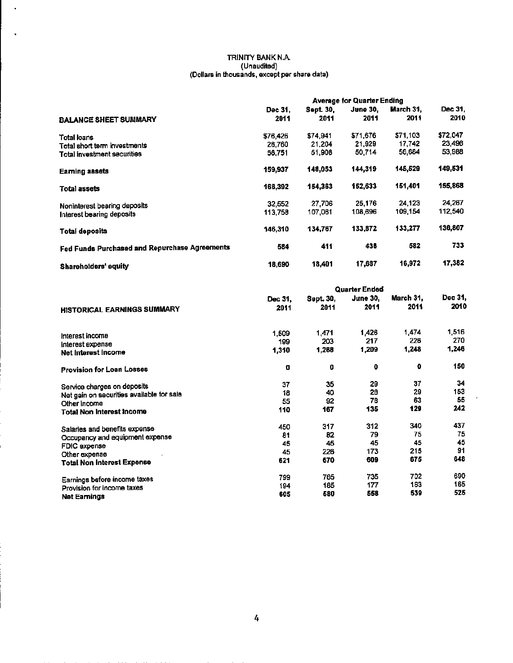#### TRINITY BANK N.A. (Unaudited) (Dollars in thousands, except par share data)

 $\bar{\phantom{a}}$ 

ł,

|                                               | <b>Average for Quarter Ending</b> |           |                 |           |          |  |  |
|-----------------------------------------------|-----------------------------------|-----------|-----------------|-----------|----------|--|--|
|                                               | Dec 31.                           | Sept. 30, | <b>June 30.</b> | March 31. | Dec 31.  |  |  |
| <b>BALANCE SHEET SUMMARY</b>                  | 2011                              | 2011      | 2011            | 2011      | 2010     |  |  |
| Total Ioans                                   | \$76,426                          | \$74,941  | \$71.676        | \$71,103  | \$72,047 |  |  |
| Total short term investments                  | 26,760                            | 21,204    | 21,929          | 17,742    | 23,496   |  |  |
| Total investment securities                   | 56,751                            | 51,908    | 50,714          | 56,684    | 53,988   |  |  |
| <b>Eaming assets</b>                          | 159,937                           | 148,053   | 144,319         | 145,529   | 149,531  |  |  |
| <b>Total assets</b>                           | 166.392                           | 154.363   | 152,633         | 151,401   | 155,868  |  |  |
| Noninterest bearing deposits                  | 32.552                            | 27,706    | 25.176          | 24,123    | 24,267   |  |  |
| Interest bearing deposits                     | 113,758                           | 107,061   | 108,696         | 109,154   | 112,540  |  |  |
| <b>Total deposits</b>                         | 146,310                           | 134,767   | 133,872         | 133,277   | 136,807  |  |  |
| Fed Funds Purchased and Repurchase Agreements | 584                               | 411       | 438             | 582       | 733      |  |  |
| <b>Shareholders' equity</b>                   | 18,690                            | 18,401    | 17.687          | 16,972    | 17,382   |  |  |

|                                           | Quarter Ended |           |                 |           |         |  |  |
|-------------------------------------------|---------------|-----------|-----------------|-----------|---------|--|--|
|                                           | Dec 31.       | Sept. 30, | <b>June 30,</b> | March 31. | Dec 31, |  |  |
| <b>HISTORICAL EARNINGS SUMMARY</b>        | 2011          | 2011      | 2011            | 2011      | 2010    |  |  |
|                                           | 1,509         | 1,471     | 1,426           | 1,474     | 1,516   |  |  |
| Interest income                           | 199           | 203       | 217             | 226       | 270     |  |  |
| Interest expense<br>Net Interest Income   | 1,310         | 1,268     | 1,209           | 1,248     | 1,246   |  |  |
| <b>Provision for Loan Losses</b>          | O             | 0         | O               | 0         | 150     |  |  |
| Service charges on deposits               | 37            | 35        | 29              | 37        | 34      |  |  |
| Net gain on securities available for sale | 18            | 40        | 28              | 29        | 153     |  |  |
| Other income                              | 55            | 92        | 78              | 63        | 55      |  |  |
| <b>Total Non Interest Income</b>          | 110           | 167       | 135             | 129       | 242     |  |  |
| Salaries and benefits expense             | 450           | 317       | 312             | 340       | 437     |  |  |
| Occupancy and equipment expense           | 81            | 82        | 79              | 75        | 75      |  |  |
| FDIC expense                              | 45            | 45        | 45              | 45        | 45      |  |  |
| Other expense                             | 45            | 226       | 173             | 215       | 91      |  |  |
| <b>Total Non Interest Expense</b>         | 621           | 670       | 609             | 675       | 648     |  |  |
| Earnings before income taxes              | 799           | 765       | 735             | 702       | 690     |  |  |
| Provision for income taxes                | 194           | 185       | 177             | 163       | 165     |  |  |
| <b>Net Earnings</b>                       | 605           | 580       | 558             | 539       | 525     |  |  |

J,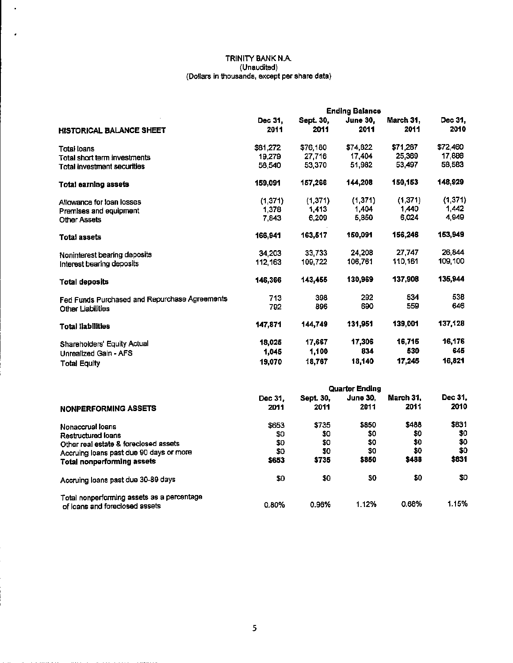### TRINITY BANK N.A. (Unaudited) (Dollars In thousands, except per share data)

 $\bar{a}$ 

 $\epsilon$ 

|                                               | <b>Ending Balance</b> |                   |                         |                   |                 |  |  |
|-----------------------------------------------|-----------------------|-------------------|-------------------------|-------------------|-----------------|--|--|
| <b>HISTORICAL BALANCE SHEET</b>               | Dec 31.<br>2011       | Sept. 30,<br>2011 | <b>June 30,</b><br>2011 | March 31.<br>2011 | Dec 31,<br>2010 |  |  |
| Total loans                                   | \$81,272              | \$76,180          | \$74,822                | \$71,287          | \$72,460        |  |  |
| Total short term investments                  | 19,279                | 27,716            | 17,404                  | 25,369            | 17,886          |  |  |
| <b>Total investment securities</b>            | 58,540                | 53,370            | 51,982                  | 53,497            | 58,583          |  |  |
| Total earning assets                          | 159,091               | 157,266           | 144,208                 | 150,153           | 148,929         |  |  |
| Allowance for loan losses                     | (1,371)               | (1,371)           | (1,371)                 | (1, 371)          | (1, 371)        |  |  |
| Premises and equipment                        | 1,378                 | 1,413             | 1,404                   | 1.440             | 1.442           |  |  |
| <b>Other Assets</b>                           | 7,843                 | 6,209             | 5,850                   | 6,024             | 4,949           |  |  |
| Total assets                                  | 166,941               | 163,517           | 150,091                 | 156,246           | 153,949         |  |  |
| Noninterest bearing deposits                  | 34,203                | 33.733            | 24,208                  | 27.747            | 26,844          |  |  |
| Interest bearing deposits                     | 112,163               | 109.722           | 106,761                 | 110,161           | 109,100         |  |  |
| <b>Total deposits</b>                         | 146,366               | 143,455           | 130,969                 | 137,908           | 135,944         |  |  |
| Fed Funds Purchased and Repurchase Agreements | 713                   | 398               | 292                     | 534               | 538             |  |  |
| Other Liabilities                             | 792                   | 896               | 690                     | 559               | 646             |  |  |
| <b>Total liabilities</b>                      | 147,871               | 144,749           | 131.951                 | 139,001           | 137,128         |  |  |
| Shareholders' Equity Actual                   | 18,025                | 17,667            | 17,306                  | 16,715            | 16,176          |  |  |
| Unrealized Gain - AFS                         | 1,045                 | 1,100             | 834                     | 530               | 645             |  |  |
| <b>Total Equity</b>                           | 19,070                | 18,767            | 18,140                  | 17,245            | 16,821          |  |  |
|                                               |                       |                   | アン・・・・ キー・ビー・リー         |                   |                 |  |  |

| <b>Quarter Ending</b> |              |          |           |         |  |  |
|-----------------------|--------------|----------|-----------|---------|--|--|
| Dec 31.               | Sept. 30,    | June 30. | March 31. | Dec 31. |  |  |
| 2011                  | 2011         | 2011     | 2011      | 2010    |  |  |
| \$653                 | \$735        | \$850    | \$488     | \$831   |  |  |
| \$0                   | \$0          | \$0      | \$0       | \$0     |  |  |
| \$0                   | \$0          | \$0      | \$0       | \$0     |  |  |
|                       | \$0          | \$0      | \$0       | \$0     |  |  |
| \$653                 | \$735        | \$850    | \$488     | \$831   |  |  |
| 50                    | \$0          | \$0      | \$0       | SO.     |  |  |
|                       |              | 1.12%    | 0.68%     | 1.15%   |  |  |
|                       | \$0<br>0.80% | 0.96%    |           |         |  |  |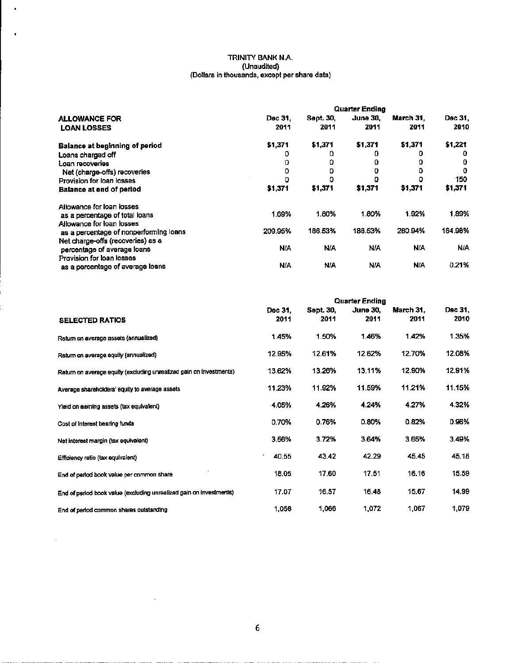### TRINITY BANK N.A. (Unaudited) (Dollars In thousands, except per share data)

 $\bar{1}$ 

 $\tilde{\phantom{a}}$ 

 $\bar{\beta}$ 

|                                        | Quarter Ending |                  |                 |                  |         |  |  |
|----------------------------------------|----------------|------------------|-----------------|------------------|---------|--|--|
| <b>ALLOWANCE FOR</b>                   | Dec 31.        | <b>Sept. 30,</b> | <b>June 30.</b> | <b>March 31.</b> | Dec 31, |  |  |
| <b>LOAN LOSSES</b>                     | 2011           | 2011             | 2011            | 2011             | 2010    |  |  |
| <b>Balance at beginning of period</b>  | \$1,371        | \$1,371          | \$1,371         | \$1,371          | \$1,221 |  |  |
| Loans charged off                      | 0              | o                |                 |                  | Ð       |  |  |
| Loan recoveries                        | ο              | ٥                |                 |                  | o       |  |  |
| Net (charge-offs) recoveries           | 0              | o                | o               | ٥                | 0       |  |  |
| Provision for loan losses              |                | ο                |                 |                  | 150     |  |  |
| <b>Balance at end of period</b>        | \$1,371        | \$1,371          | \$1,371         | \$1,371          | \$1,371 |  |  |
| Allowance for loan losses              |                |                  |                 |                  |         |  |  |
| as a percentage of total loans         | 1.69%          | 1.80%            | 1.80%           | 1.92%            | 1.89%   |  |  |
| Allowance for loan losses              |                |                  |                 |                  |         |  |  |
| as a percentage of nonperforming loans | 209.95%        | 186.53%          | 186.53%         | 280.94%          | 164.98% |  |  |
| Net charge-offs (recoveries) as a      |                |                  |                 |                  |         |  |  |
| percentage of average loans            | N/A            | N/A              | <b>N/A</b>      | N/A              | N/A     |  |  |
| Provision for loan losses              |                |                  |                 |                  |         |  |  |
| as a percentage of average loans       | N/A            | N/A              | <b>N/A</b>      | N/A              | 0.21%   |  |  |

|                                                                     | <b>Quarter Ending</b> |                   |                         |                   |                 |  |  |
|---------------------------------------------------------------------|-----------------------|-------------------|-------------------------|-------------------|-----------------|--|--|
| <b>SELECTED RATIOS</b>                                              | Dec 31.<br>2011       | Sept. 30,<br>2011 | <b>June 30.</b><br>2011 | March 31,<br>2011 | Dec 31,<br>2010 |  |  |
| Retum on average assets (annualized)                                | 1.45%                 | 1.50%             | 1.46%                   | 1.42%             | 1.35%           |  |  |
| Return on average equity (annualized)                               | 12.95%                | 12.61%            | 12.62%                  | 12.70%            | 12.08%          |  |  |
| Return on average equity (excluding unrealized gain on investments) | 13.62%                | 13.26%            | 13.11%                  | 12.90%            | 12.91%          |  |  |
| Average shareholders' equity to average assets                      | 11.23%                | 11.92%            | 11.59%                  | 11.21%            | 11.15%          |  |  |
| Yield on earning assets (tax equivalent)                            | 4.05%                 | 4.26%             | 4.24%                   | 4.27%             | 4.32%           |  |  |
| Cost of Interest bearing funds                                      | 0.70%                 | 0.76%             | 0.80%                   | 0.82%             | 0.96%           |  |  |
| Net interest margin (tax equivalent)                                | 3.56%                 | 3.72%             | 3.64%                   | 3.65%             | 3.49%           |  |  |
| Efficiency ratio (tax equivalent)                                   | ٠<br>40.55            | 43.42             | 42.29                   | 45.45             | 45.18           |  |  |
| End of period book value per common share                           | 18.05                 | 17.60             | 17.51                   | 16.16             | 15.59           |  |  |
| End of period book value (excluding unrealized gain on investments) | 17.07                 | 16.57             | 16.48                   | 15.67             | 14.99           |  |  |
| End of period common shares outstanding                             | 1,056                 | 1,066             | 1,072                   | 1,067             | 1,079           |  |  |

 $\sim 10^{-1}$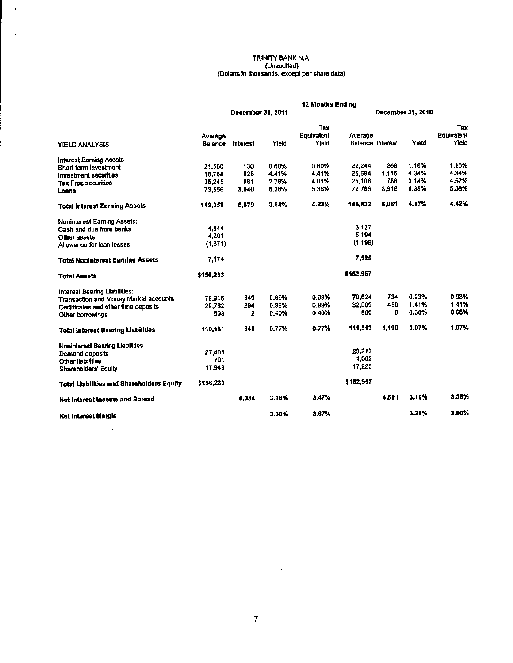#### TRINITY BANK N.A. (Unaudited) (Dollars In thousands, except per share data)

 $\bar{z}$ 

 $\bar{\phantom{a}}$ 

 $\blacksquare$ 

 $\mathcal{A}^{\mathcal{A}}$ 

 $\bar{a}$ 

|                                                  | <b>12 Months Ending</b> |                   |       |                            |                   |                  |       |                            |  |
|--------------------------------------------------|-------------------------|-------------------|-------|----------------------------|-------------------|------------------|-------|----------------------------|--|
|                                                  |                         | December 31, 2011 |       |                            | December 31, 2010 |                  |       |                            |  |
| YIELD ANALYSIS                                   | Average<br>Balance      | Interest          | Yield | Tax<br>Equivalent<br>Yield | Average           | Balance Interest | Yield | Tax<br>Equivalent<br>Yleid |  |
| Interest Earning Assets:                         |                         |                   |       |                            |                   |                  |       |                            |  |
| Short term investment                            | 21,500                  | 130               | 0.60% | 0.60%                      | 22,244            | 259              | 1.16% | 1.16%                      |  |
| Investment securities                            | 18.758                  | 828               | 4.41% | 4.41%                      | 25,694            | 1,116            | 4.34% | 4.34%                      |  |
| <b>Tax Free securities</b>                       | 35.245                  | 981               | 2.78% | 4.01%                      | 25,108            | 788              | 3.14% | 4.52%                      |  |
| Loans                                            | 73.556                  | 3,940             | 5.36% | 5.36%                      | 72.786            | 3,918            | 5.38% | 5.38%                      |  |
| <b>Total Interest Earning Assets</b>             | 149.059                 | 5,879             | 3.94% | 4.23%                      | 145,832           | 6,061            | 4.17% | 4.42%                      |  |
| Noninterest Earning Assets:                      |                         |                   |       |                            |                   |                  |       |                            |  |
| Cash and due from banks                          | 4.344                   |                   |       |                            | 3.127             |                  |       |                            |  |
| Other assets                                     | 4.201                   |                   |       |                            | 5,194             |                  |       |                            |  |
| Allowance for loan losses                        | (1, 371)                |                   |       |                            | (1, 196)          |                  |       |                            |  |
| <b>Total Noninterest Earning Assets</b>          | 7,174                   |                   |       |                            | 7,125             |                  |       |                            |  |
| <b>Total Assets</b>                              | \$156,233               |                   |       |                            | \$152,957         |                  |       |                            |  |
| Interest Bearing Liabilities:                    |                         |                   |       |                            |                   |                  |       |                            |  |
| <b>Transaction and Money Market accounts</b>     | 79.916                  | 549               | 0.69% | 0.69%                      | 78,624            | 734              | 0.93% | 0.93%                      |  |
| Certificates and other time deposits             | 29,762                  | 294               | 0.99% | 0.99%                      | 32,009            | 450              | 1.41% | 1.41%                      |  |
| Other borrowings                                 | 503                     | 2                 | 0.40% | 0.40%                      | 880               | 6                | 0.68% | 0.68%                      |  |
| Total Interest Bearing Liabilities               | 110.181                 | 845               | 0.77% | 0.77%                      | 111.513           | 1.190            | 1.07% | 1.07%                      |  |
| Noninterest Bearing Liabilities                  |                         |                   |       |                            |                   |                  |       |                            |  |
| Demand deposits                                  | 27,408                  |                   |       |                            | 23.217            |                  |       |                            |  |
| Other liabilities                                | 701                     |                   |       |                            | 1,002             |                  |       |                            |  |
| Shareholders' Equity                             | 17,943                  |                   |       |                            | 17,225            |                  |       |                            |  |
| <b>Total Liabilities and Shareholders Equity</b> | \$156,233               |                   |       |                            | \$152,957         |                  |       |                            |  |
| Net Interest Income and Spread                   |                         | 5.034             | 3.18% | 3.47%                      |                   | 4,891            | 3.10% | 3.35%                      |  |
| Net Interest Margin                              |                         |                   | 3.38% | 3.67%                      |                   |                  | 3.35% | 3.60%                      |  |

 $\sim 10^{-1}$ 

 $\sim 10^7$